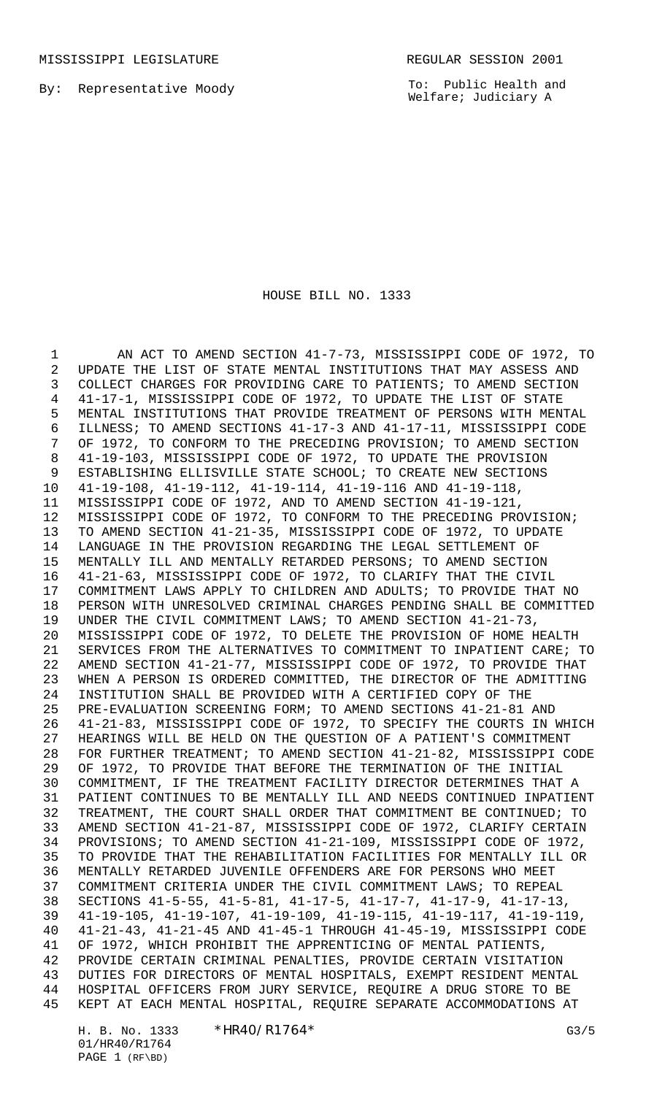MISSISSIPPI LEGISLATURE REGULAR SESSION 2001

By: Representative Moody

To: Public Health and Welfare; Judiciary A

#### HOUSE BILL NO. 1333

 AN ACT TO AMEND SECTION 41-7-73, MISSISSIPPI CODE OF 1972, TO UPDATE THE LIST OF STATE MENTAL INSTITUTIONS THAT MAY ASSESS AND COLLECT CHARGES FOR PROVIDING CARE TO PATIENTS; TO AMEND SECTION 41-17-1, MISSISSIPPI CODE OF 1972, TO UPDATE THE LIST OF STATE MENTAL INSTITUTIONS THAT PROVIDE TREATMENT OF PERSONS WITH MENTAL ILLNESS; TO AMEND SECTIONS 41-17-3 AND 41-17-11, MISSISSIPPI CODE OF 1972, TO CONFORM TO THE PRECEDING PROVISION; TO AMEND SECTION 41-19-103, MISSISSIPPI CODE OF 1972, TO UPDATE THE PROVISION ESTABLISHING ELLISVILLE STATE SCHOOL; TO CREATE NEW SECTIONS 41-19-108, 41-19-112, 41-19-114, 41-19-116 AND 41-19-118, MISSISSIPPI CODE OF 1972, AND TO AMEND SECTION 41-19-121, MISSISSIPPI CODE OF 1972, TO CONFORM TO THE PRECEDING PROVISION; TO AMEND SECTION 41-21-35, MISSISSIPPI CODE OF 1972, TO UPDATE LANGUAGE IN THE PROVISION REGARDING THE LEGAL SETTLEMENT OF MENTALLY ILL AND MENTALLY RETARDED PERSONS; TO AMEND SECTION 41-21-63, MISSISSIPPI CODE OF 1972, TO CLARIFY THAT THE CIVIL COMMITMENT LAWS APPLY TO CHILDREN AND ADULTS; TO PROVIDE THAT NO PERSON WITH UNRESOLVED CRIMINAL CHARGES PENDING SHALL BE COMMITTED UNDER THE CIVIL COMMITMENT LAWS; TO AMEND SECTION 41-21-73, MISSISSIPPI CODE OF 1972, TO DELETE THE PROVISION OF HOME HEALTH SERVICES FROM THE ALTERNATIVES TO COMMITMENT TO INPATIENT CARE; TO AMEND SECTION 41-21-77, MISSISSIPPI CODE OF 1972, TO PROVIDE THAT WHEN A PERSON IS ORDERED COMMITTED, THE DIRECTOR OF THE ADMITTING INSTITUTION SHALL BE PROVIDED WITH A CERTIFIED COPY OF THE PRE-EVALUATION SCREENING FORM; TO AMEND SECTIONS 41-21-81 AND 41-21-83, MISSISSIPPI CODE OF 1972, TO SPECIFY THE COURTS IN WHICH HEARINGS WILL BE HELD ON THE QUESTION OF A PATIENT'S COMMITMENT FOR FURTHER TREATMENT; TO AMEND SECTION 41-21-82, MISSISSIPPI CODE OF 1972, TO PROVIDE THAT BEFORE THE TERMINATION OF THE INITIAL COMMITMENT, IF THE TREATMENT FACILITY DIRECTOR DETERMINES THAT A PATIENT CONTINUES TO BE MENTALLY ILL AND NEEDS CONTINUED INPATIENT TREATMENT, THE COURT SHALL ORDER THAT COMMITMENT BE CONTINUED; TO AMEND SECTION 41-21-87, MISSISSIPPI CODE OF 1972, CLARIFY CERTAIN PROVISIONS; TO AMEND SECTION 41-21-109, MISSISSIPPI CODE OF 1972, TO PROVIDE THAT THE REHABILITATION FACILITIES FOR MENTALLY ILL OR MENTALLY RETARDED JUVENILE OFFENDERS ARE FOR PERSONS WHO MEET COMMITMENT CRITERIA UNDER THE CIVIL COMMITMENT LAWS; TO REPEAL SECTIONS 41-5-55, 41-5-81, 41-17-5, 41-17-7, 41-17-9, 41-17-13, 41-19-105, 41-19-107, 41-19-109, 41-19-115, 41-19-117, 41-19-119, 41-21-43, 41-21-45 AND 41-45-1 THROUGH 41-45-19, MISSISSIPPI CODE OF 1972, WHICH PROHIBIT THE APPRENTICING OF MENTAL PATIENTS, PROVIDE CERTAIN CRIMINAL PENALTIES, PROVIDE CERTAIN VISITATION DUTIES FOR DIRECTORS OF MENTAL HOSPITALS, EXEMPT RESIDENT MENTAL HOSPITAL OFFICERS FROM JURY SERVICE, REQUIRE A DRUG STORE TO BE KEPT AT EACH MENTAL HOSPITAL, REQUIRE SEPARATE ACCOMMODATIONS AT

H. B. No. 1333 \*HR40/R1764\* G3/5 01/HR40/R1764 PAGE 1 (RF\BD)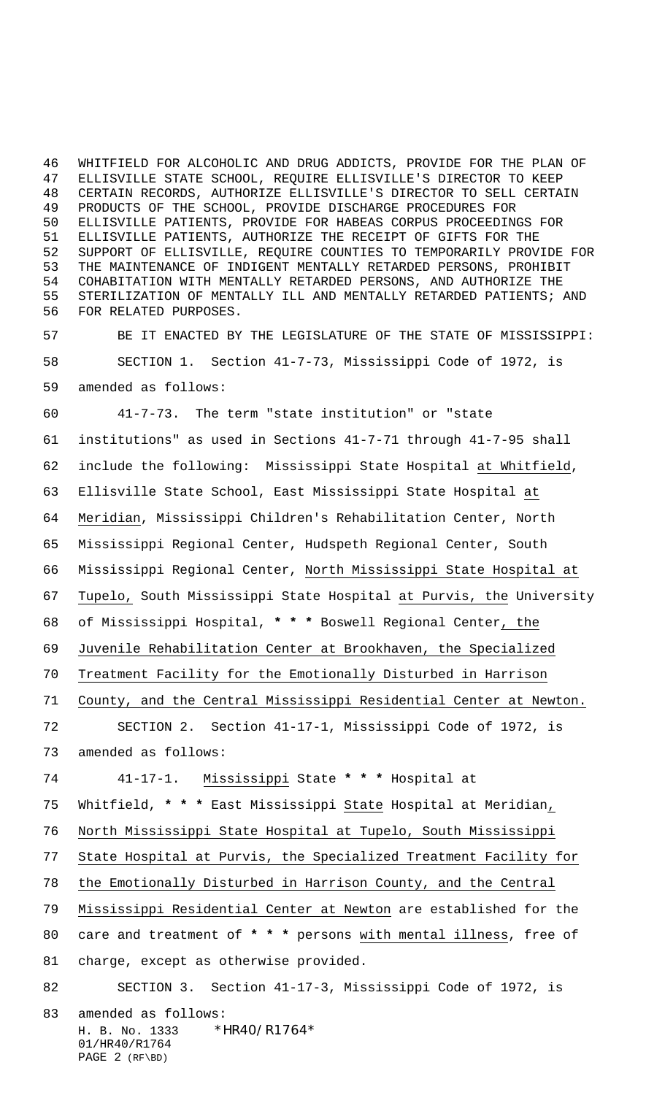WHITFIELD FOR ALCOHOLIC AND DRUG ADDICTS, PROVIDE FOR THE PLAN OF ELLISVILLE STATE SCHOOL, REQUIRE ELLISVILLE'S DIRECTOR TO KEEP CERTAIN RECORDS, AUTHORIZE ELLISVILLE'S DIRECTOR TO SELL CERTAIN PRODUCTS OF THE SCHOOL, PROVIDE DISCHARGE PROCEDURES FOR ELLISVILLE PATIENTS, PROVIDE FOR HABEAS CORPUS PROCEEDINGS FOR ELLISVILLE PATIENTS, AUTHORIZE THE RECEIPT OF GIFTS FOR THE SUPPORT OF ELLISVILLE, REQUIRE COUNTIES TO TEMPORARILY PROVIDE FOR THE MAINTENANCE OF INDIGENT MENTALLY RETARDED PERSONS, PROHIBIT COHABITATION WITH MENTALLY RETARDED PERSONS, AND AUTHORIZE THE STERILIZATION OF MENTALLY ILL AND MENTALLY RETARDED PATIENTS; AND FOR RELATED PURPOSES.

 BE IT ENACTED BY THE LEGISLATURE OF THE STATE OF MISSISSIPPI: SECTION 1. Section 41-7-73, Mississippi Code of 1972, is amended as follows:

 41-7-73. The term "state institution" or "state institutions" as used in Sections 41-7-71 through 41-7-95 shall include the following: Mississippi State Hospital at Whitfield, Ellisville State School, East Mississippi State Hospital at Meridian, Mississippi Children's Rehabilitation Center, North Mississippi Regional Center, Hudspeth Regional Center, South Mississippi Regional Center, North Mississippi State Hospital at Tupelo, South Mississippi State Hospital at Purvis, the University of Mississippi Hospital, **\* \* \*** Boswell Regional Center, the Juvenile Rehabilitation Center at Brookhaven, the Specialized Treatment Facility for the Emotionally Disturbed in Harrison County, and the Central Mississippi Residential Center at Newton. SECTION 2. Section 41-17-1, Mississippi Code of 1972, is amended as follows: 41-17-1. Mississippi State **\* \* \*** Hospital at Whitfield, **\* \* \*** East Mississippi State Hospital at Meridian,

North Mississippi State Hospital at Tupelo, South Mississippi

State Hospital at Purvis, the Specialized Treatment Facility for

the Emotionally Disturbed in Harrison County, and the Central

Mississippi Residential Center at Newton are established for the

 care and treatment of **\* \* \*** persons with mental illness, free of charge, except as otherwise provided.

### SECTION 3. Section 41-17-3, Mississippi Code of 1972, is

 $H. B. No. 1333$  \*HR40/R1764\* 01/HR40/R1764 PAGE 2 (RF\BD) amended as follows: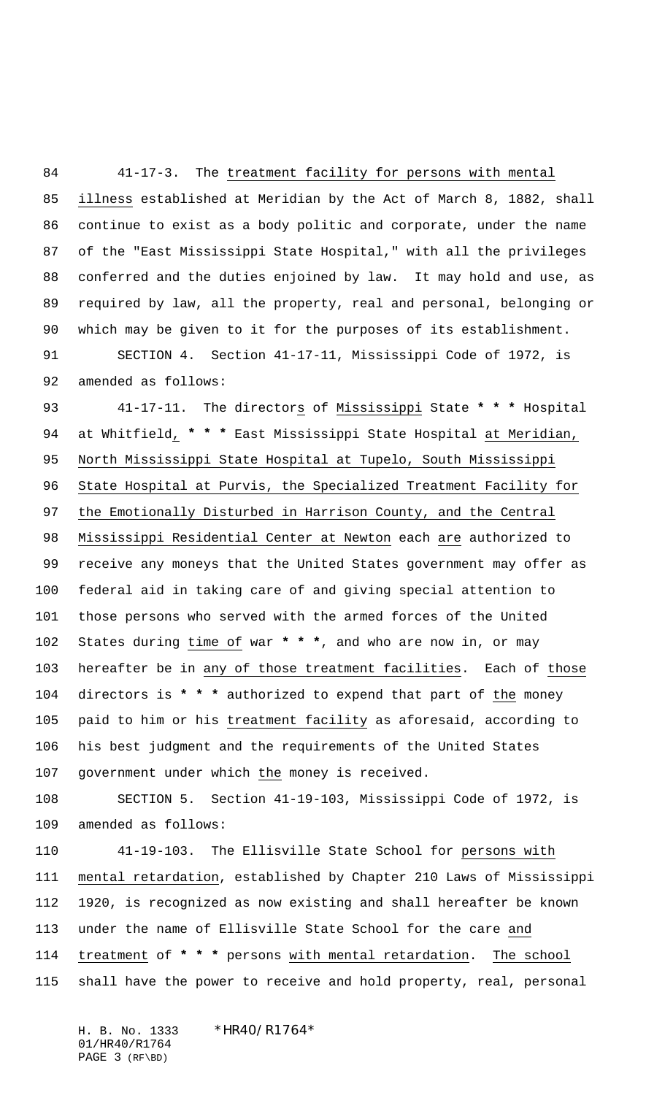41-17-3. The treatment facility for persons with mental illness established at Meridian by the Act of March 8, 1882, shall continue to exist as a body politic and corporate, under the name of the "East Mississippi State Hospital," with all the privileges conferred and the duties enjoined by law. It may hold and use, as required by law, all the property, real and personal, belonging or which may be given to it for the purposes of its establishment.

 SECTION 4. Section 41-17-11, Mississippi Code of 1972, is amended as follows:

 41-17-11. The directors of Mississippi State **\* \* \*** Hospital at Whitfield, **\* \* \*** East Mississippi State Hospital at Meridian, North Mississippi State Hospital at Tupelo, South Mississippi State Hospital at Purvis, the Specialized Treatment Facility for the Emotionally Disturbed in Harrison County, and the Central Mississippi Residential Center at Newton each are authorized to receive any moneys that the United States government may offer as federal aid in taking care of and giving special attention to those persons who served with the armed forces of the United States during time of war **\* \* \***, and who are now in, or may hereafter be in any of those treatment facilities. Each of those directors is **\* \* \*** authorized to expend that part of the money paid to him or his treatment facility as aforesaid, according to his best judgment and the requirements of the United States government under which the money is received.

 SECTION 5. Section 41-19-103, Mississippi Code of 1972, is amended as follows:

 41-19-103. The Ellisville State School for persons with mental retardation, established by Chapter 210 Laws of Mississippi 1920, is recognized as now existing and shall hereafter be known under the name of Ellisville State School for the care and treatment of **\* \* \*** persons with mental retardation. The school shall have the power to receive and hold property, real, personal

H. B. No. 1333 \*HR40/R1764\* 01/HR40/R1764 PAGE 3 (RF\BD)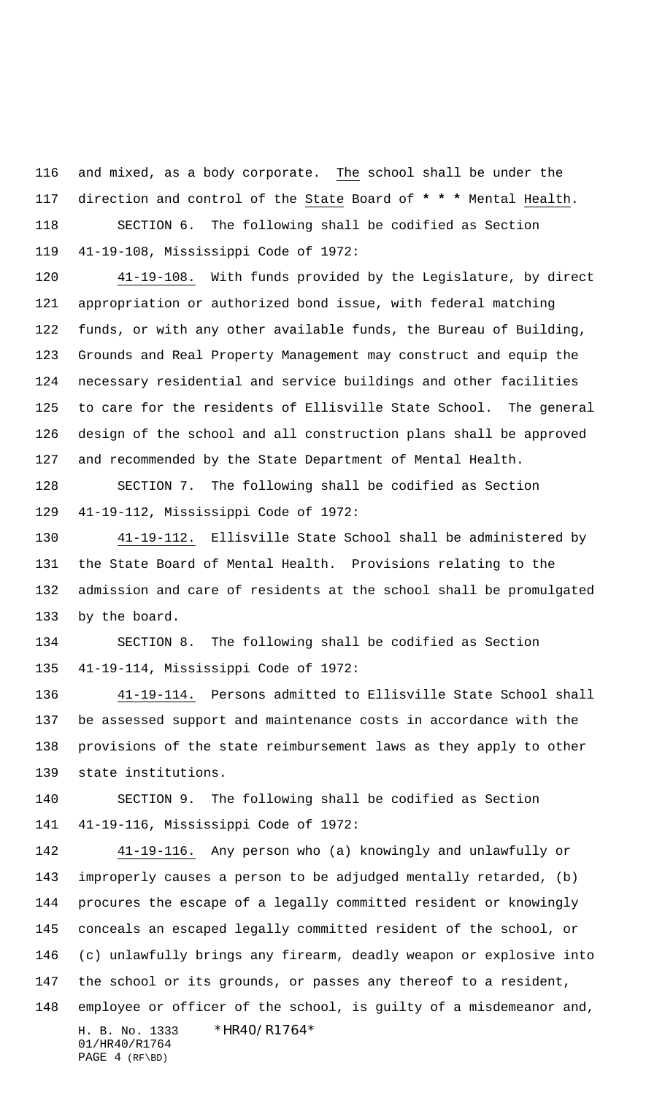and mixed, as a body corporate. The school shall be under the direction and control of the State Board of **\* \* \*** Mental Health. SECTION 6. The following shall be codified as Section

41-19-108, Mississippi Code of 1972:

 41-19-108. With funds provided by the Legislature, by direct appropriation or authorized bond issue, with federal matching funds, or with any other available funds, the Bureau of Building, Grounds and Real Property Management may construct and equip the necessary residential and service buildings and other facilities to care for the residents of Ellisville State School. The general design of the school and all construction plans shall be approved and recommended by the State Department of Mental Health.

 SECTION 7. The following shall be codified as Section 41-19-112, Mississippi Code of 1972:

 41-19-112. Ellisville State School shall be administered by the State Board of Mental Health. Provisions relating to the admission and care of residents at the school shall be promulgated by the board.

 SECTION 8. The following shall be codified as Section 41-19-114, Mississippi Code of 1972:

 41-19-114. Persons admitted to Ellisville State School shall be assessed support and maintenance costs in accordance with the provisions of the state reimbursement laws as they apply to other state institutions.

 SECTION 9. The following shall be codified as Section 41-19-116, Mississippi Code of 1972:

H. B. No. 1333 \*HR40/R1764\* 01/HR40/R1764 PAGE 4 (RF\BD) 41-19-116. Any person who (a) knowingly and unlawfully or improperly causes a person to be adjudged mentally retarded, (b) procures the escape of a legally committed resident or knowingly conceals an escaped legally committed resident of the school, or (c) unlawfully brings any firearm, deadly weapon or explosive into the school or its grounds, or passes any thereof to a resident, employee or officer of the school, is guilty of a misdemeanor and,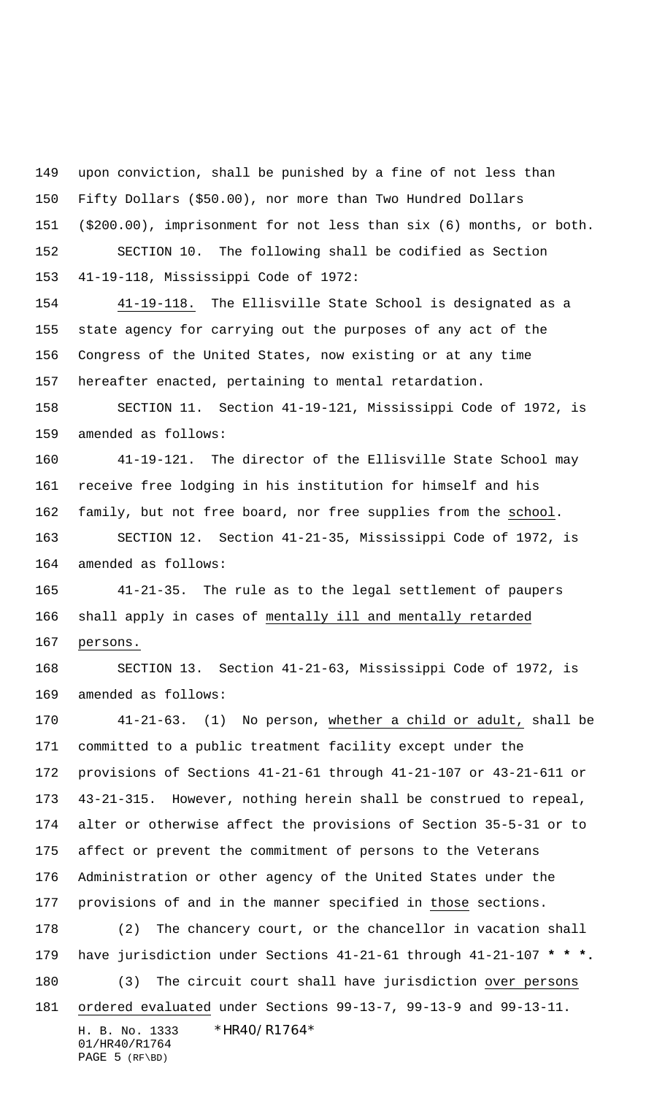upon conviction, shall be punished by a fine of not less than

Fifty Dollars (\$50.00), nor more than Two Hundred Dollars

(\$200.00), imprisonment for not less than six (6) months, or both.

152 SECTION 10. The following shall be codified as Section 41-19-118, Mississippi Code of 1972:

 41-19-118. The Ellisville State School is designated as a state agency for carrying out the purposes of any act of the Congress of the United States, now existing or at any time hereafter enacted, pertaining to mental retardation.

 SECTION 11. Section 41-19-121, Mississippi Code of 1972, is amended as follows:

 41-19-121. The director of the Ellisville State School may receive free lodging in his institution for himself and his family, but not free board, nor free supplies from the school.

 SECTION 12. Section 41-21-35, Mississippi Code of 1972, is amended as follows:

 41-21-35. The rule as to the legal settlement of paupers 166 shall apply in cases of mentally ill and mentally retarded persons.

 SECTION 13. Section 41-21-63, Mississippi Code of 1972, is amended as follows:

 41-21-63. (1) No person, whether a child or adult, shall be committed to a public treatment facility except under the provisions of Sections 41-21-61 through 41-21-107 or 43-21-611 or 43-21-315. However, nothing herein shall be construed to repeal, alter or otherwise affect the provisions of Section 35-5-31 or to affect or prevent the commitment of persons to the Veterans Administration or other agency of the United States under the provisions of and in the manner specified in those sections. (2) The chancery court, or the chancellor in vacation shall have jurisdiction under Sections 41-21-61 through 41-21-107 **\* \* \*.** 180 (3) The circuit court shall have jurisdiction over persons

ordered evaluated under Sections 99-13-7, 99-13-9 and 99-13-11.

H. B. No. 1333 \*HR40/R1764\* 01/HR40/R1764 PAGE 5 (RF\BD)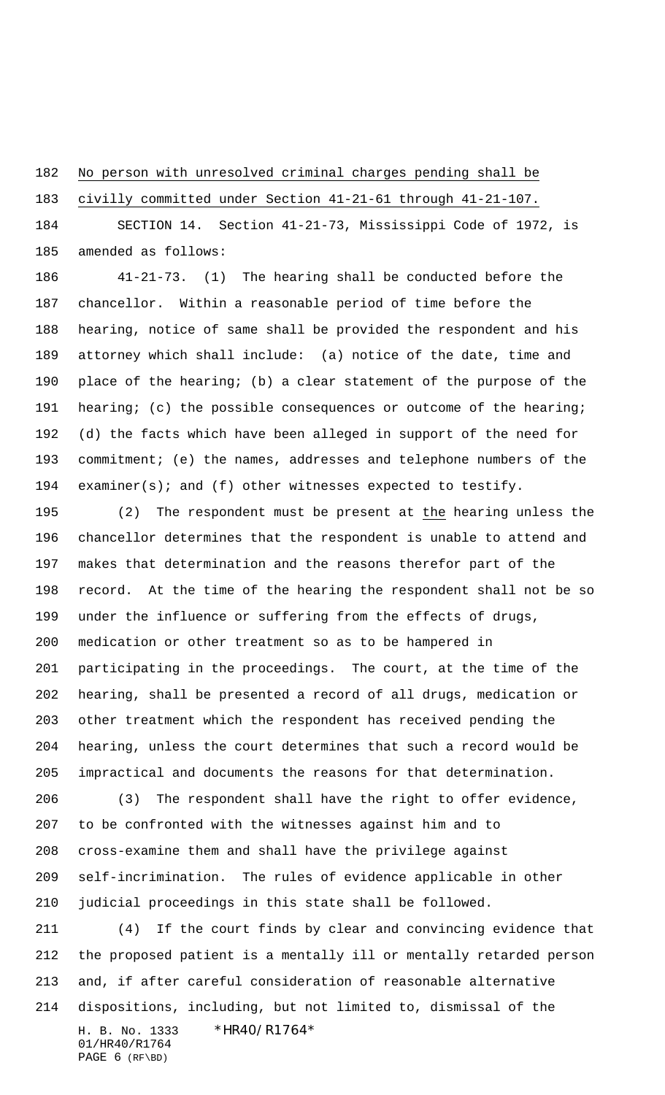No person with unresolved criminal charges pending shall be

civilly committed under Section 41-21-61 through 41-21-107.

 SECTION 14. Section 41-21-73, Mississippi Code of 1972, is amended as follows:

 41-21-73. (1) The hearing shall be conducted before the chancellor. Within a reasonable period of time before the hearing, notice of same shall be provided the respondent and his attorney which shall include: (a) notice of the date, time and place of the hearing; (b) a clear statement of the purpose of the 191 hearing; (c) the possible consequences or outcome of the hearing; (d) the facts which have been alleged in support of the need for commitment; (e) the names, addresses and telephone numbers of the examiner(s); and (f) other witnesses expected to testify.

 (2) The respondent must be present at the hearing unless the chancellor determines that the respondent is unable to attend and makes that determination and the reasons therefor part of the record. At the time of the hearing the respondent shall not be so under the influence or suffering from the effects of drugs, medication or other treatment so as to be hampered in participating in the proceedings. The court, at the time of the hearing, shall be presented a record of all drugs, medication or other treatment which the respondent has received pending the hearing, unless the court determines that such a record would be impractical and documents the reasons for that determination.

 (3) The respondent shall have the right to offer evidence, to be confronted with the witnesses against him and to cross-examine them and shall have the privilege against self-incrimination. The rules of evidence applicable in other judicial proceedings in this state shall be followed.

H. B. No. 1333 \*HR40/R1764\* 01/HR40/R1764 (4) If the court finds by clear and convincing evidence that the proposed patient is a mentally ill or mentally retarded person and, if after careful consideration of reasonable alternative dispositions, including, but not limited to, dismissal of the

PAGE 6 (RF\BD)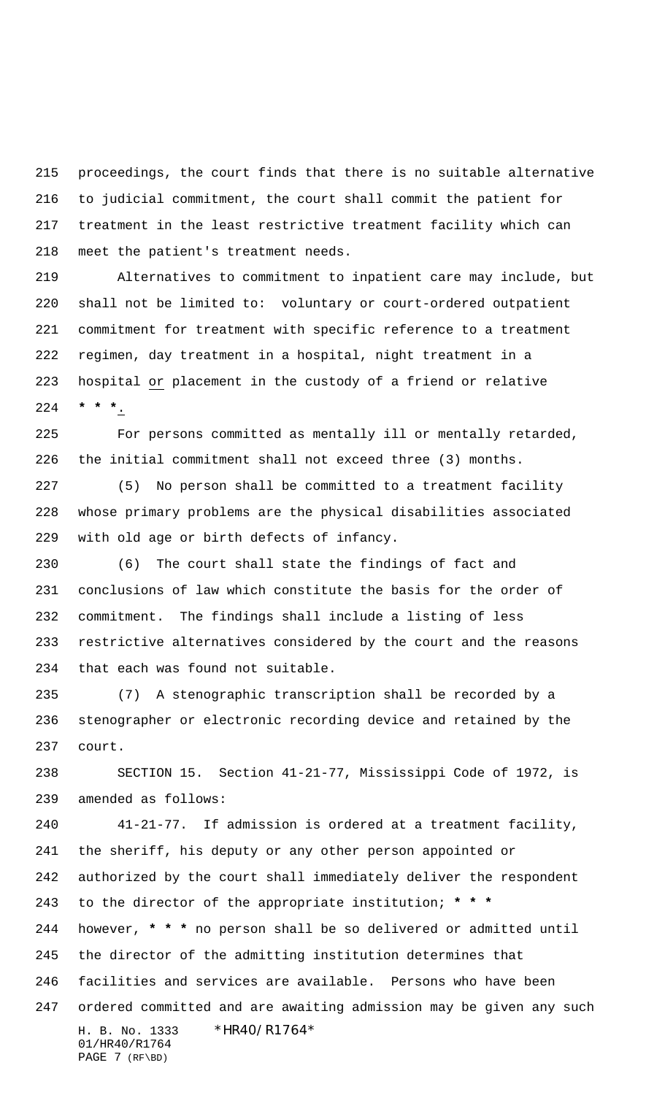proceedings, the court finds that there is no suitable alternative to judicial commitment, the court shall commit the patient for treatment in the least restrictive treatment facility which can meet the patient's treatment needs.

 Alternatives to commitment to inpatient care may include, but shall not be limited to: voluntary or court-ordered outpatient commitment for treatment with specific reference to a treatment regimen, day treatment in a hospital, night treatment in a hospital or placement in the custody of a friend or relative **\* \* \***.

 For persons committed as mentally ill or mentally retarded, the initial commitment shall not exceed three (3) months.

 (5) No person shall be committed to a treatment facility whose primary problems are the physical disabilities associated with old age or birth defects of infancy.

 (6) The court shall state the findings of fact and conclusions of law which constitute the basis for the order of commitment. The findings shall include a listing of less restrictive alternatives considered by the court and the reasons that each was found not suitable.

 (7) A stenographic transcription shall be recorded by a stenographer or electronic recording device and retained by the court.

 SECTION 15. Section 41-21-77, Mississippi Code of 1972, is amended as follows:

H. B. No. 1333 \*HR40/R1764\* 01/HR40/R1764 PAGE 7 (RF\BD) 41-21-77. If admission is ordered at a treatment facility, the sheriff, his deputy or any other person appointed or authorized by the court shall immediately deliver the respondent to the director of the appropriate institution; **\* \* \*** however, **\* \* \*** no person shall be so delivered or admitted until the director of the admitting institution determines that facilities and services are available. Persons who have been ordered committed and are awaiting admission may be given any such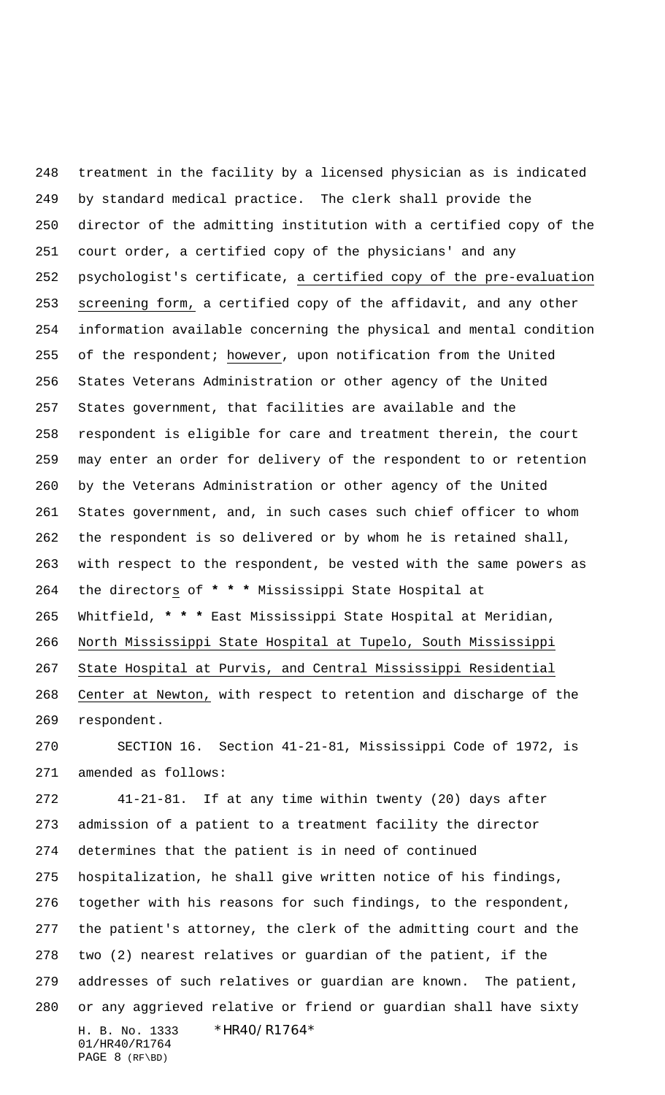treatment in the facility by a licensed physician as is indicated by standard medical practice. The clerk shall provide the director of the admitting institution with a certified copy of the court order, a certified copy of the physicians' and any psychologist's certificate, a certified copy of the pre-evaluation screening form, a certified copy of the affidavit, and any other information available concerning the physical and mental condition of the respondent; however, upon notification from the United States Veterans Administration or other agency of the United States government, that facilities are available and the respondent is eligible for care and treatment therein, the court may enter an order for delivery of the respondent to or retention by the Veterans Administration or other agency of the United States government, and, in such cases such chief officer to whom the respondent is so delivered or by whom he is retained shall, with respect to the respondent, be vested with the same powers as the directors of **\* \* \*** Mississippi State Hospital at Whitfield, **\* \* \*** East Mississippi State Hospital at Meridian, North Mississippi State Hospital at Tupelo, South Mississippi State Hospital at Purvis, and Central Mississippi Residential Center at Newton, with respect to retention and discharge of the respondent.

 SECTION 16. Section 41-21-81, Mississippi Code of 1972, is amended as follows:

H. B. No. 1333 \*HR40/R1764\* 01/HR40/R1764 PAGE 8 (RF\BD) 41-21-81. If at any time within twenty (20) days after admission of a patient to a treatment facility the director determines that the patient is in need of continued hospitalization, he shall give written notice of his findings, together with his reasons for such findings, to the respondent, the patient's attorney, the clerk of the admitting court and the two (2) nearest relatives or guardian of the patient, if the addresses of such relatives or guardian are known. The patient, or any aggrieved relative or friend or guardian shall have sixty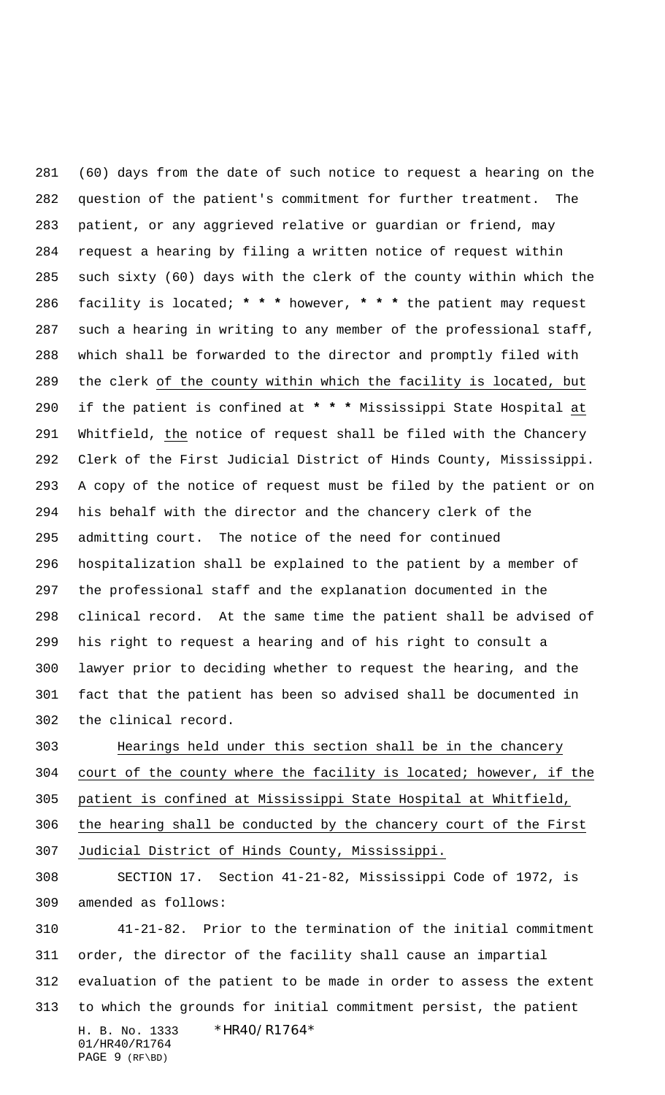(60) days from the date of such notice to request a hearing on the question of the patient's commitment for further treatment. The patient, or any aggrieved relative or guardian or friend, may request a hearing by filing a written notice of request within such sixty (60) days with the clerk of the county within which the facility is located; **\* \* \*** however, **\* \* \*** the patient may request such a hearing in writing to any member of the professional staff, which shall be forwarded to the director and promptly filed with the clerk of the county within which the facility is located, but if the patient is confined at **\* \* \*** Mississippi State Hospital at Whitfield, the notice of request shall be filed with the Chancery Clerk of the First Judicial District of Hinds County, Mississippi. A copy of the notice of request must be filed by the patient or on his behalf with the director and the chancery clerk of the admitting court. The notice of the need for continued hospitalization shall be explained to the patient by a member of the professional staff and the explanation documented in the clinical record. At the same time the patient shall be advised of his right to request a hearing and of his right to consult a lawyer prior to deciding whether to request the hearing, and the fact that the patient has been so advised shall be documented in the clinical record.

 Hearings held under this section shall be in the chancery court of the county where the facility is located; however, if the patient is confined at Mississippi State Hospital at Whitfield, the hearing shall be conducted by the chancery court of the First Judicial District of Hinds County, Mississippi.

 SECTION 17. Section 41-21-82, Mississippi Code of 1972, is amended as follows:

H. B. No. 1333 \*HR40/R1764\* 01/HR40/R1764 PAGE 9 (RF\BD) 41-21-82. Prior to the termination of the initial commitment order, the director of the facility shall cause an impartial evaluation of the patient to be made in order to assess the extent to which the grounds for initial commitment persist, the patient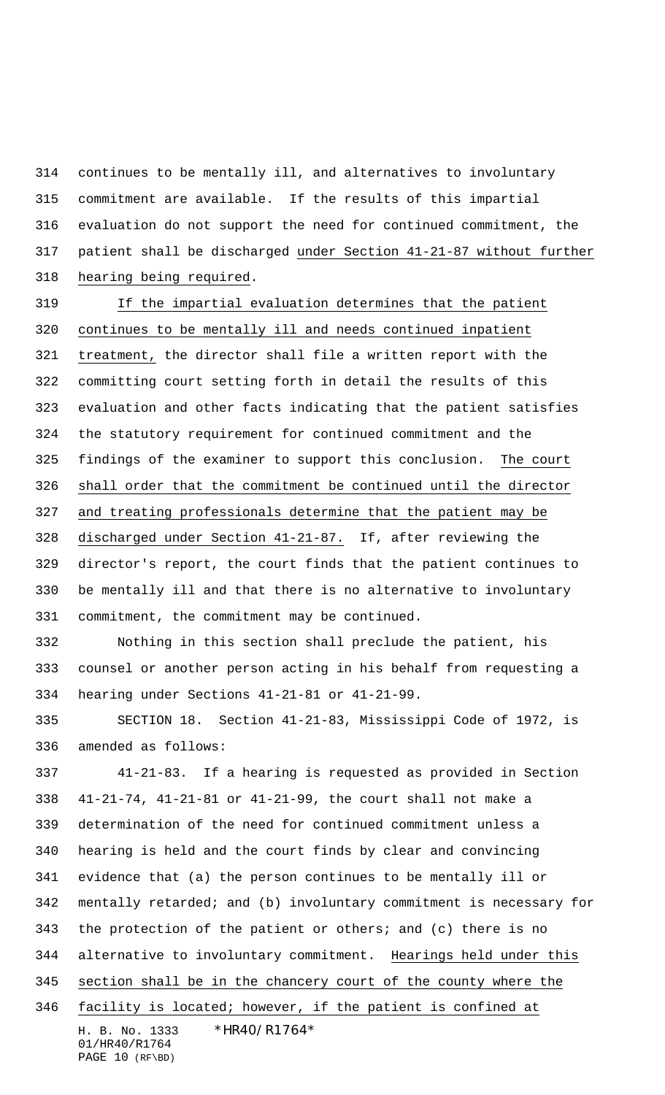continues to be mentally ill, and alternatives to involuntary commitment are available. If the results of this impartial evaluation do not support the need for continued commitment, the patient shall be discharged under Section 41-21-87 without further hearing being required.

 If the impartial evaluation determines that the patient continues to be mentally ill and needs continued inpatient treatment, the director shall file a written report with the committing court setting forth in detail the results of this evaluation and other facts indicating that the patient satisfies the statutory requirement for continued commitment and the findings of the examiner to support this conclusion. The court shall order that the commitment be continued until the director and treating professionals determine that the patient may be discharged under Section 41-21-87. If, after reviewing the director's report, the court finds that the patient continues to be mentally ill and that there is no alternative to involuntary commitment, the commitment may be continued.

 Nothing in this section shall preclude the patient, his counsel or another person acting in his behalf from requesting a hearing under Sections 41-21-81 or 41-21-99.

 SECTION 18. Section 41-21-83, Mississippi Code of 1972, is amended as follows:

H. B. No. 1333 \*HR40/R1764\* 01/HR40/R1764 PAGE 10 (RF\BD) 41-21-83. If a hearing is requested as provided in Section 41-21-74, 41-21-81 or 41-21-99, the court shall not make a determination of the need for continued commitment unless a hearing is held and the court finds by clear and convincing evidence that (a) the person continues to be mentally ill or mentally retarded; and (b) involuntary commitment is necessary for the protection of the patient or others; and (c) there is no alternative to involuntary commitment. Hearings held under this section shall be in the chancery court of the county where the facility is located; however, if the patient is confined at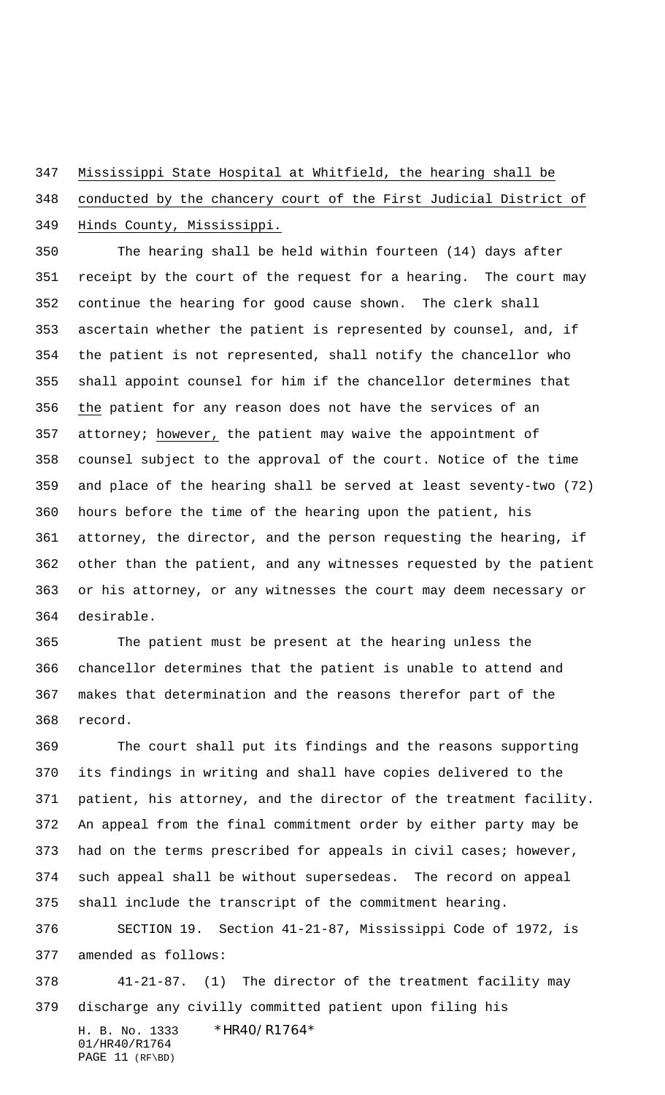#### Mississippi State Hospital at Whitfield, the hearing shall be

## conducted by the chancery court of the First Judicial District of Hinds County, Mississippi.

 The hearing shall be held within fourteen (14) days after receipt by the court of the request for a hearing. The court may continue the hearing for good cause shown. The clerk shall ascertain whether the patient is represented by counsel, and, if the patient is not represented, shall notify the chancellor who shall appoint counsel for him if the chancellor determines that the patient for any reason does not have the services of an attorney; however, the patient may waive the appointment of counsel subject to the approval of the court. Notice of the time and place of the hearing shall be served at least seventy-two (72) hours before the time of the hearing upon the patient, his attorney, the director, and the person requesting the hearing, if other than the patient, and any witnesses requested by the patient or his attorney, or any witnesses the court may deem necessary or desirable.

 The patient must be present at the hearing unless the chancellor determines that the patient is unable to attend and makes that determination and the reasons therefor part of the record.

 The court shall put its findings and the reasons supporting its findings in writing and shall have copies delivered to the patient, his attorney, and the director of the treatment facility. An appeal from the final commitment order by either party may be had on the terms prescribed for appeals in civil cases; however, such appeal shall be without supersedeas. The record on appeal shall include the transcript of the commitment hearing. SECTION 19. Section 41-21-87, Mississippi Code of 1972, is amended as follows:

 41-21-87. (1) The director of the treatment facility may discharge any civilly committed patient upon filing his

H. B. No. 1333 \*HR40/R1764\* 01/HR40/R1764 PAGE 11 (RF\BD)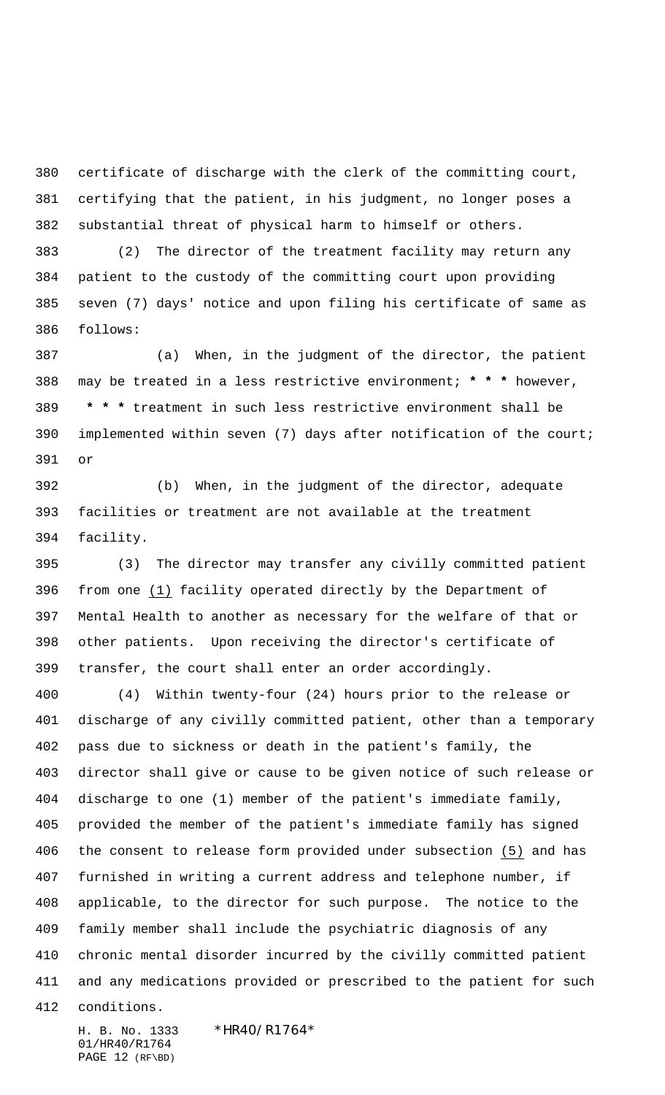certificate of discharge with the clerk of the committing court, certifying that the patient, in his judgment, no longer poses a substantial threat of physical harm to himself or others.

 (2) The director of the treatment facility may return any patient to the custody of the committing court upon providing seven (7) days' notice and upon filing his certificate of same as follows:

 (a) When, in the judgment of the director, the patient may be treated in a less restrictive environment; **\* \* \*** however,  **\* \* \*** treatment in such less restrictive environment shall be implemented within seven (7) days after notification of the court; or

 (b) When, in the judgment of the director, adequate facilities or treatment are not available at the treatment facility.

 (3) The director may transfer any civilly committed patient from one (1) facility operated directly by the Department of Mental Health to another as necessary for the welfare of that or other patients. Upon receiving the director's certificate of transfer, the court shall enter an order accordingly.

 (4) Within twenty-four (24) hours prior to the release or discharge of any civilly committed patient, other than a temporary pass due to sickness or death in the patient's family, the director shall give or cause to be given notice of such release or discharge to one (1) member of the patient's immediate family, provided the member of the patient's immediate family has signed the consent to release form provided under subsection (5) and has furnished in writing a current address and telephone number, if applicable, to the director for such purpose. The notice to the family member shall include the psychiatric diagnosis of any chronic mental disorder incurred by the civilly committed patient and any medications provided or prescribed to the patient for such conditions.

H. B. No. 1333 \*HR40/R1764\* 01/HR40/R1764 PAGE 12 (RF\BD)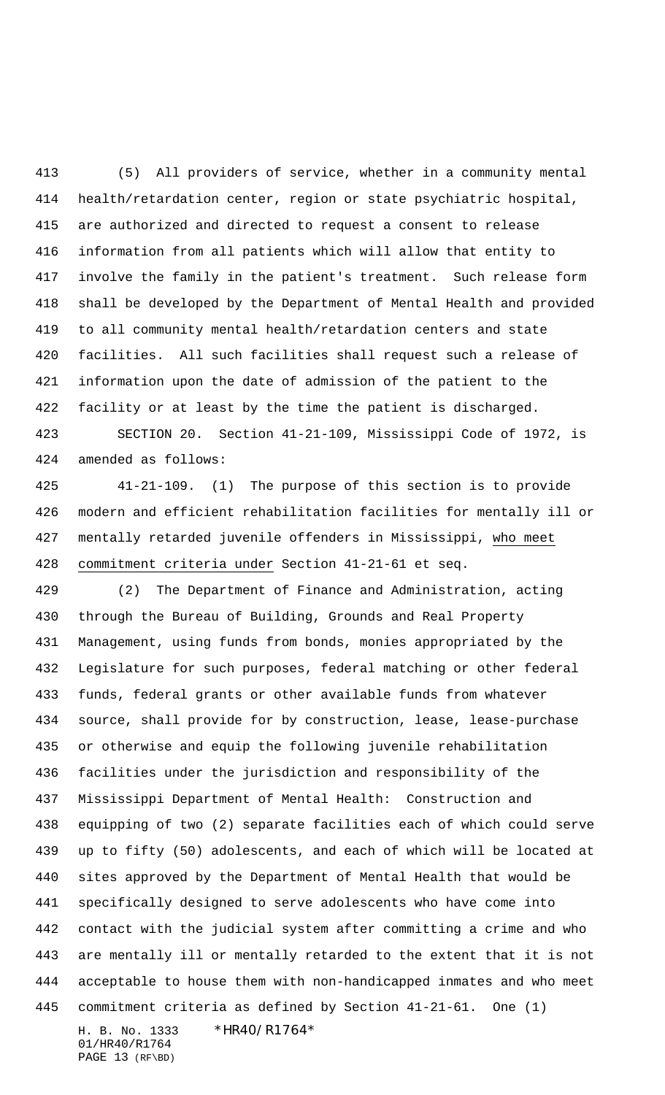(5) All providers of service, whether in a community mental health/retardation center, region or state psychiatric hospital, are authorized and directed to request a consent to release information from all patients which will allow that entity to involve the family in the patient's treatment. Such release form shall be developed by the Department of Mental Health and provided to all community mental health/retardation centers and state facilities. All such facilities shall request such a release of information upon the date of admission of the patient to the facility or at least by the time the patient is discharged. SECTION 20. Section 41-21-109, Mississippi Code of 1972, is

amended as follows:

 41-21-109. (1) The purpose of this section is to provide modern and efficient rehabilitation facilities for mentally ill or mentally retarded juvenile offenders in Mississippi, who meet commitment criteria under Section 41-21-61 et seq.

H. B. No. 1333 \*HR40/R1764\* (2) The Department of Finance and Administration, acting through the Bureau of Building, Grounds and Real Property Management, using funds from bonds, monies appropriated by the Legislature for such purposes, federal matching or other federal funds, federal grants or other available funds from whatever source, shall provide for by construction, lease, lease-purchase or otherwise and equip the following juvenile rehabilitation facilities under the jurisdiction and responsibility of the Mississippi Department of Mental Health: Construction and equipping of two (2) separate facilities each of which could serve up to fifty (50) adolescents, and each of which will be located at sites approved by the Department of Mental Health that would be specifically designed to serve adolescents who have come into contact with the judicial system after committing a crime and who are mentally ill or mentally retarded to the extent that it is not acceptable to house them with non-handicapped inmates and who meet commitment criteria as defined by Section 41-21-61. One (1)

01/HR40/R1764 PAGE 13 (RF\BD)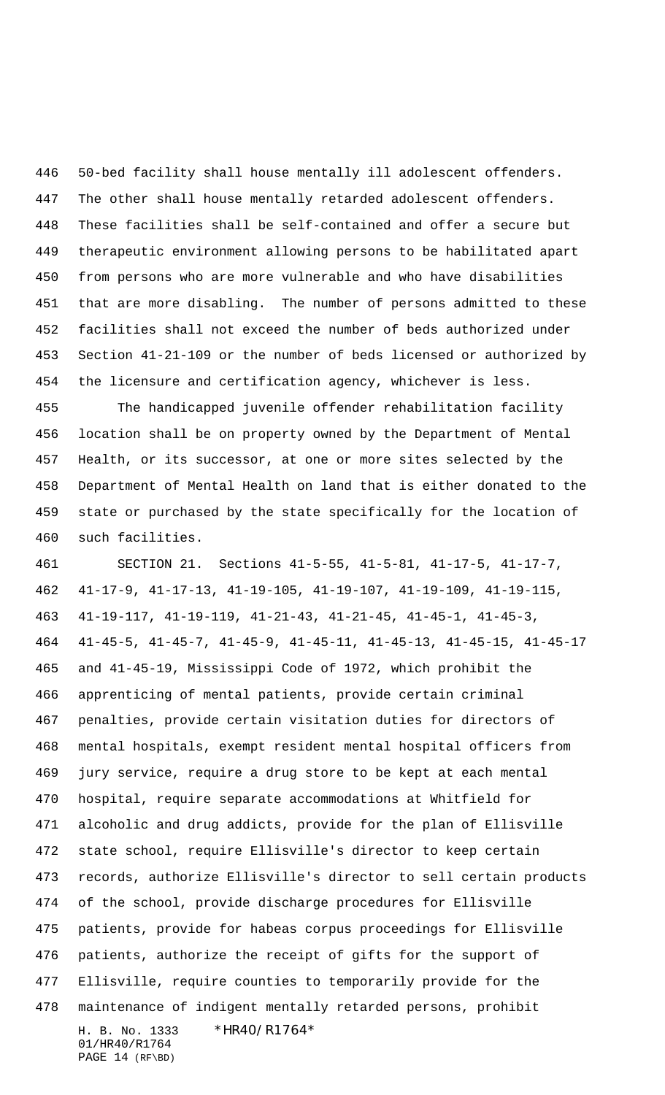50-bed facility shall house mentally ill adolescent offenders. The other shall house mentally retarded adolescent offenders. These facilities shall be self-contained and offer a secure but therapeutic environment allowing persons to be habilitated apart from persons who are more vulnerable and who have disabilities that are more disabling. The number of persons admitted to these facilities shall not exceed the number of beds authorized under Section 41-21-109 or the number of beds licensed or authorized by the licensure and certification agency, whichever is less.

 The handicapped juvenile offender rehabilitation facility location shall be on property owned by the Department of Mental Health, or its successor, at one or more sites selected by the Department of Mental Health on land that is either donated to the state or purchased by the state specifically for the location of such facilities.

H. B. No. 1333 \*HR40/R1764\* 01/HR40/R1764 SECTION 21. Sections 41-5-55, 41-5-81, 41-17-5, 41-17-7, 41-17-9, 41-17-13, 41-19-105, 41-19-107, 41-19-109, 41-19-115, 41-19-117, 41-19-119, 41-21-43, 41-21-45, 41-45-1, 41-45-3, 41-45-5, 41-45-7, 41-45-9, 41-45-11, 41-45-13, 41-45-15, 41-45-17 and 41-45-19, Mississippi Code of 1972, which prohibit the apprenticing of mental patients, provide certain criminal penalties, provide certain visitation duties for directors of mental hospitals, exempt resident mental hospital officers from jury service, require a drug store to be kept at each mental hospital, require separate accommodations at Whitfield for alcoholic and drug addicts, provide for the plan of Ellisville state school, require Ellisville's director to keep certain records, authorize Ellisville's director to sell certain products of the school, provide discharge procedures for Ellisville patients, provide for habeas corpus proceedings for Ellisville patients, authorize the receipt of gifts for the support of Ellisville, require counties to temporarily provide for the maintenance of indigent mentally retarded persons, prohibit

PAGE 14 (RF\BD)